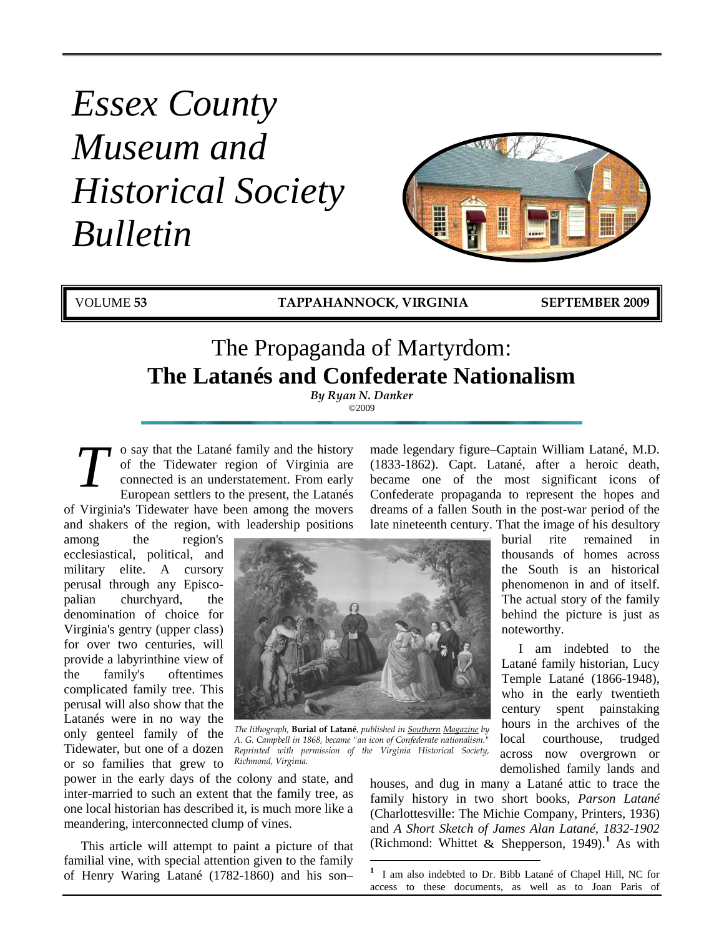# *Essex County Museum and Historical Society Bulletin*



VOLUME **53 TAPPAHANNOCK, VIRGINIA SEPTEMBER 2009**

## The Propaganda of Martyrdom: **The Latanés and Confederate Nationalism**

*By Ryan N. Danker* ©2009

o say that the Latané family and the history of the Tidewater region of Virginia are connected is an understatement. From early European settlers to the present, the Latanés of Virginia's Tidewater have been among the movers and shakers of the region, with leadership positions *T*

among the region's ecclesiastical, political, and military elite. A cursory perusal through any Episcopalian churchyard, the denomination of choice for Virginia's gentry (upper class) for over two centuries, will provide a labyrinthine view of the family's oftentimes complicated family tree. This perusal will also show that the Latanés were in no way the only genteel family of the Tidewater, but one of a dozen or so families that grew to



*The lithograph,* **Burial of Latané***, published in Southern Magazine by A. G. Campbell in 1868, became "an icon of Confederate nationalism." Reprinted with permission of the Virginia Historical Society, Richmond, Virginia.*

power in the early days of the colony and state, and inter-married to such an extent that the family tree, as one local historian has described it, is much more like a meandering, interconnected clump of vines.

<span id="page-0-0"></span>This article will attempt to paint a picture of that familial vine, with special attention given to the family of Henry Waring Latané (1782-1860) and his son–

made legendary figure–Captain William Latané, M.D. (1833-1862). Capt. Latané, after a heroic death, became one of the most significant icons of Confederate propaganda to represent the hopes and dreams of a fallen South in the post-war period of the late nineteenth century. That the image of his desultory

> burial rite remained in thousands of homes across the South is an historical phenomenon in and of itself. The actual story of the family behind the picture is just as noteworthy.

I am indebted to the Latané family historian, Lucy Temple Latané (1866-1948), who in the early twentieth century spent painstaking hours in the archives of the local courthouse, trudged across now overgrown or demolished family lands and

houses, and dug in many a Latané attic to trace the family history in two short books, *Parson Latané*  (Charlottesville: The Michie Company, Printers, 1936) and *A Short Sketch of James Alan Latané, 1832-1902*  (Richmond: Whittet & Shepperson, 1949).**[1](#page-0-0)** As with

**1** <sup>1</sup> I am also indebted to Dr. Bibb Latané of Chapel Hill, NC for access to these documents, as well as to Joan Paris of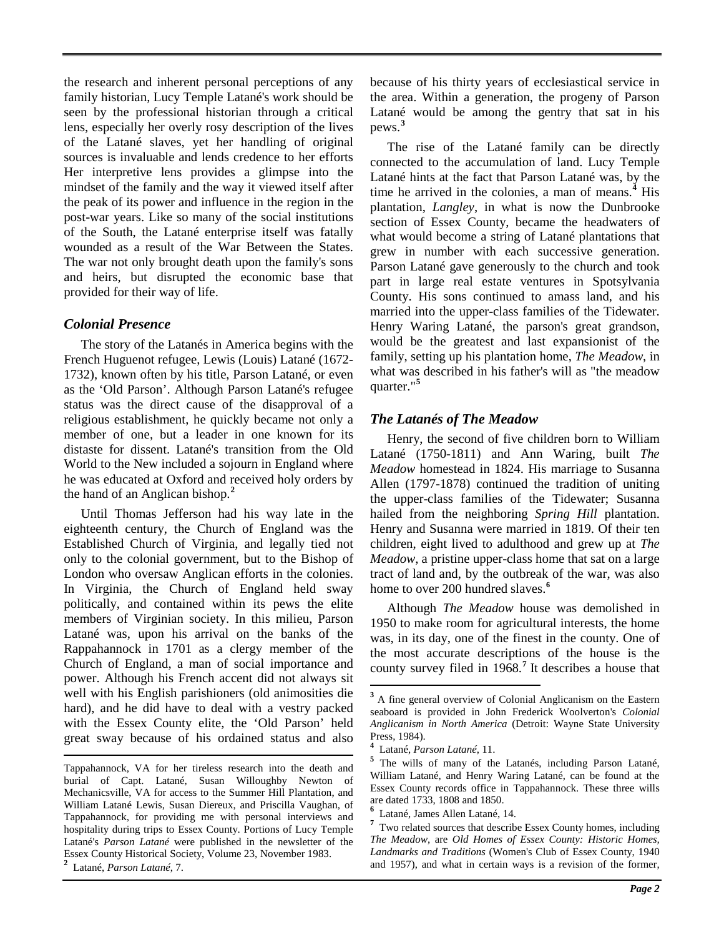the research and inherent personal perceptions of any family historian, Lucy Temple Latané's work should be seen by the professional historian through a critical lens, especially her overly rosy description of the lives of the Latané slaves, yet her handling of original sources is invaluable and lends credence to her efforts Her interpretive lens provides a glimpse into the mindset of the family and the way it viewed itself after the peak of its power and influence in the region in the post-war years. Like so many of the social institutions of the South, the Latané enterprise itself was fatally wounded as a result of the War Between the States. The war not only brought death upon the family's sons and heirs, but disrupted the economic base that provided for their way of life.

## *Colonial Presence*

The story of the Latanés in America begins with the French Huguenot refugee, Lewis (Louis) Latané (1672- 1732), known often by his title, Parson Latané, or even as the 'Old Parson'. Although Parson Latané's refugee status was the direct cause of the disapproval of a religious establishment, he quickly became not only a member of one, but a leader in one known for its distaste for dissent. Latané's transition from the Old World to the New included a sojourn in England where he was educated at Oxford and received holy orders by the hand of an Anglican bishop.**[2](#page-1-0)**

Until Thomas Jefferson had his way late in the eighteenth century, the Church of England was the Established Church of Virginia, and legally tied not only to the colonial government, but to the Bishop of London who oversaw Anglican efforts in the colonies. In Virginia, the Church of England held sway politically, and contained within its pews the elite members of Virginian society. In this milieu, Parson Latané was, upon his arrival on the banks of the Rappahannock in 1701 as a clergy member of the Church of England, a man of social importance and power. Although his French accent did not always sit well with his English parishioners (old animosities die hard), and he did have to deal with a vestry packed with the Essex County elite, the 'Old Parson' held great sway because of his ordained status and also because of his thirty years of ecclesiastical service in the area. Within a generation, the progeny of Parson Latané would be among the gentry that sat in his pews.**[3](#page-1-1)**

The rise of the Latané family can be directly connected to the accumulation of land. Lucy Temple Latané hints at the fact that Parson Latané was, by the time he arrived in the colonies, a man of means.**[4](#page-1-2)** His plantation, *Langley*, in what is now the Dunbrooke section of Essex County, became the headwaters of what would become a string of Latané plantations that grew in number with each successive generation. Parson Latané gave generously to the church and took part in large real estate ventures in Spotsylvania County. His sons continued to amass land, and his married into the upper-class families of the Tidewater. Henry Waring Latané, the parson's great grandson, would be the greatest and last expansionist of the family, setting up his plantation home, *The Meadow*, in what was described in his father's will as "the meadow quarter."**[5](#page-1-3)**

## *The Latanés of The Meadow*

Henry, the second of five children born to William Latané (1750-1811) and Ann Waring, built *The Meadow* homestead in 1824. His marriage to Susanna Allen (1797-1878) continued the tradition of uniting the upper-class families of the Tidewater; Susanna hailed from the neighboring *Spring Hill* plantation. Henry and Susanna were married in 1819. Of their ten children, eight lived to adulthood and grew up at *The Meadow*, a pristine upper-class home that sat on a large tract of land and, by the outbreak of the war, was also home to over 200 hundred slaves.**[6](#page-1-4)**

Although *The Meadow* house was demolished in 1950 to make room for agricultural interests, the home was, in its day, one of the finest in the county. One of the most accurate descriptions of the house is the county survey filed in 1968.**[7](#page-1-5)** It describes a house that

<span id="page-1-4"></span><span id="page-1-3"></span><span id="page-1-2"></span><span id="page-1-1"></span>Tappahannock, VA for her tireless research into the death and burial of Capt. Latané, Susan Willoughby Newton of Mechanicsville, VA for access to the Summer Hill Plantation, and William Latané Lewis, Susan Diereux, and Priscilla Vaughan, of Tappahannock, for providing me with personal interviews and hospitality during trips to Essex County. Portions of Lucy Temple Latané's *Parson Latané* were published in the newsletter of the Essex County Historical Society, Volume 23, November 1983.

<span id="page-1-5"></span><span id="page-1-0"></span>**<sup>2</sup>** Latané, *Parson Latané*, 7.

<sup>&</sup>lt;sup>3</sup> A fine general overview of Colonial Anglicanism on the Eastern seaboard is provided in John Frederick Woolverton's *Colonial Anglicanism in North America* (Detroit: Wayne State University Press, 1984).

<sup>&</sup>lt;sup>4</sup> Latané, *Parson Latané*, 11.

<sup>&</sup>lt;sup>5</sup> The wills of many of the Latanés, including Parson Latané, William Latané, and Henry Waring Latané, can be found at the Essex County records office in Tappahannock. These three wills are dated 1733, 1808 and 1850.

**<sup>6</sup>** Latané, James Allen Latané, 14. **<sup>7</sup>**

Two related sources that describe Essex County homes, including *The Meadow*, are *Old Homes of Essex County: Historic Homes, Landmarks and Traditions* (Women's Club of Essex County, 1940 and 1957), and what in certain ways is a revision of the former,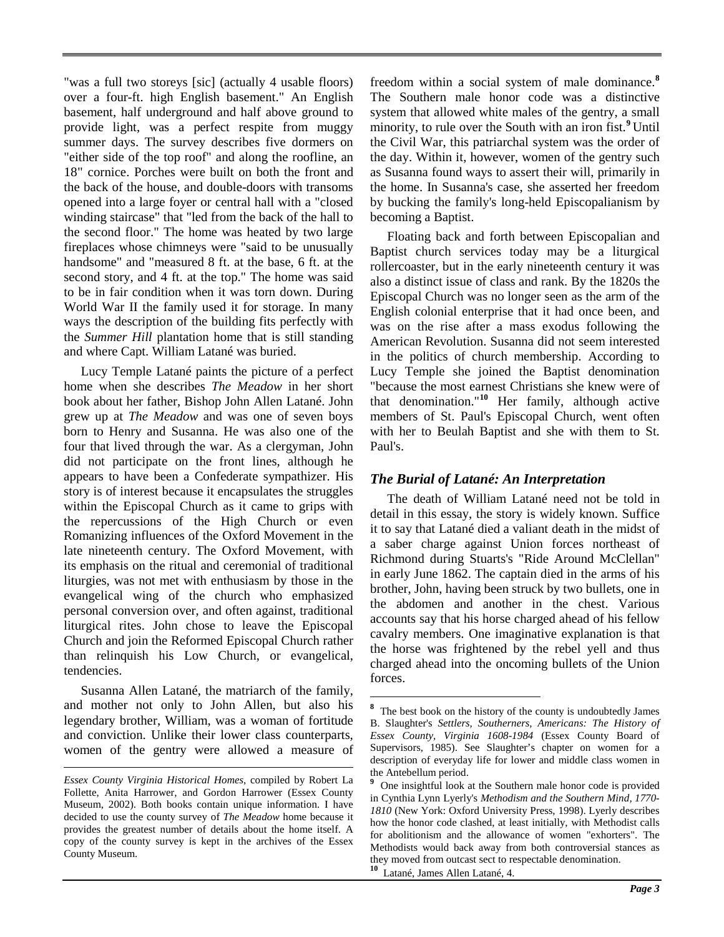"was a full two storeys [sic] (actually 4 usable floors) over a four-ft. high English basement." An English basement, half underground and half above ground to provide light, was a perfect respite from muggy summer days. The survey describes five dormers on "either side of the top roof" and along the roofline, an 18" cornice. Porches were built on both the front and the back of the house, and double-doors with transoms opened into a large foyer or central hall with a "closed winding staircase" that "led from the back of the hall to the second floor." The home was heated by two large fireplaces whose chimneys were "said to be unusually handsome" and "measured 8 ft. at the base, 6 ft. at the second story, and 4 ft. at the top." The home was said to be in fair condition when it was torn down. During World War II the family used it for storage. In many ways the description of the building fits perfectly with the *Summer Hill* plantation home that is still standing and where Capt. William Latané was buried.

Lucy Temple Latané paints the picture of a perfect home when she describes *The Meadow* in her short book about her father, Bishop John Allen Latané. John grew up at *The Meadow* and was one of seven boys born to Henry and Susanna. He was also one of the four that lived through the war. As a clergyman, John did not participate on the front lines, although he appears to have been a Confederate sympathizer. His story is of interest because it encapsulates the struggles within the Episcopal Church as it came to grips with the repercussions of the High Church or even Romanizing influences of the Oxford Movement in the late nineteenth century. The Oxford Movement, with its emphasis on the ritual and ceremonial of traditional liturgies, was not met with enthusiasm by those in the evangelical wing of the church who emphasized personal conversion over, and often against, traditional liturgical rites. John chose to leave the Episcopal Church and join the Reformed Episcopal Church rather than relinquish his Low Church, or evangelical, tendencies.

<span id="page-2-0"></span>Susanna Allen Latané, the matriarch of the family, and mother not only to John Allen, but also his legendary brother, William, was a woman of fortitude and conviction. Unlike their lower class counterparts, women of the gentry were allowed a measure of

 $\overline{a}$ 

freedom within a social system of male dominance.**[8](#page-2-0)** The Southern male honor code was a distinctive system that allowed white males of the gentry, a small minority, to rule over the South with an iron fist.**[9](#page-2-1)** Until the Civil War, this patriarchal system was the order of the day. Within it, however, women of the gentry such as Susanna found ways to assert their will, primarily in the home. In Susanna's case, she asserted her freedom by bucking the family's long-held Episcopalianism by becoming a Baptist.

Floating back and forth between Episcopalian and Baptist church services today may be a liturgical rollercoaster, but in the early nineteenth century it was also a distinct issue of class and rank. By the 1820s the Episcopal Church was no longer seen as the arm of the English colonial enterprise that it had once been, and was on the rise after a mass exodus following the American Revolution. Susanna did not seem interested in the politics of church membership. According to Lucy Temple she joined the Baptist denomination "because the most earnest Christians she knew were of that denomination." **[10](#page-2-2)** Her family, although active members of St. Paul's Episcopal Church, went often with her to Beulah Baptist and she with them to St. Paul's.

## *The Burial of Latané: An Interpretation*

The death of William Latané need not be told in detail in this essay, the story is widely known. Suffice it to say that Latané died a valiant death in the midst of a saber charge against Union forces northeast of Richmond during Stuarts's "Ride Around McClellan" in early June 1862. The captain died in the arms of his brother, John, having been struck by two bullets, one in the abdomen and another in the chest. Various accounts say that his horse charged ahead of his fellow cavalry members. One imaginative explanation is that the horse was frightened by the rebel yell and thus charged ahead into the oncoming bullets of the Union forces.

<span id="page-2-2"></span><span id="page-2-1"></span>*Essex County Virginia Historical Homes*, compiled by Robert La Follette, Anita Harrower, and Gordon Harrower (Essex County Museum, 2002). Both books contain unique information. I have decided to use the county survey of *The Meadow* home because it provides the greatest number of details about the home itself. A copy of the county survey is kept in the archives of the Essex County Museum.

**8** <sup>8</sup> The best book on the history of the county is undoubtedly James B. Slaughter's *Settlers, Southerners, Americans: The History of Essex County, Virginia 1608-1984* (Essex County Board of Supervisors, 1985). See Slaughter's chapter on women for a description of everyday life for lower and middle class women in the Antebellum period.

**<sup>9</sup>** One insightful look at the Southern male honor code is provided in Cynthia Lynn Lyerly's *Methodism and the Southern Mind, 1770- 1810* (New York: Oxford University Press, 1998). Lyerly describes how the honor code clashed, at least initially, with Methodist calls for abolitionism and the allowance of women "exhorters". The Methodists would back away from both controversial stances as they moved from outcast sect to respectable denomination. **<sup>10</sup>** Latané, James Allen Latané, 4.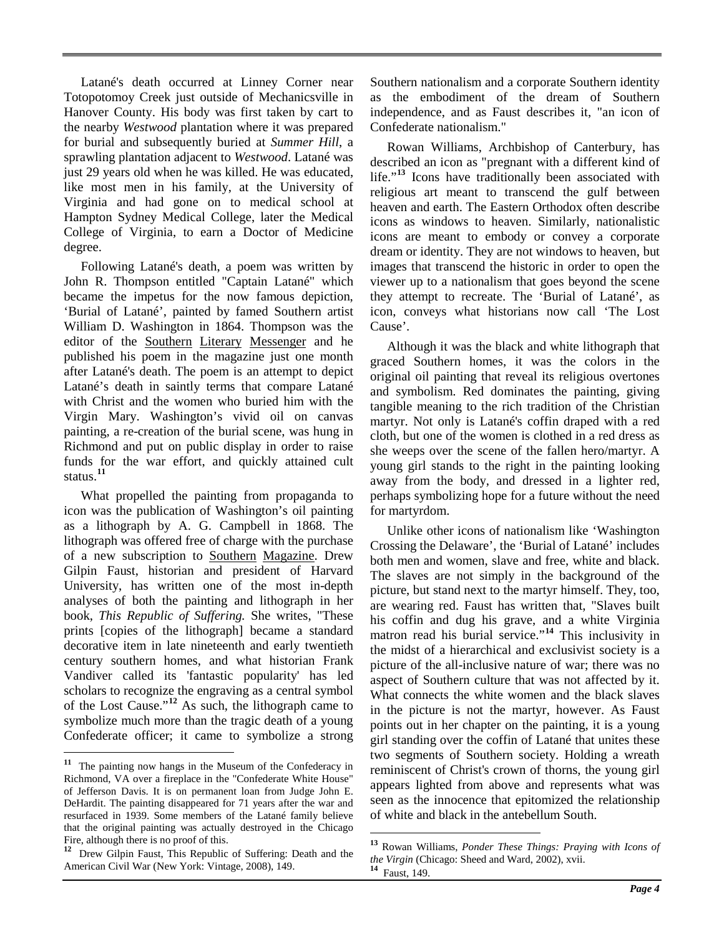Latané's death occurred at Linney Corner near Totopotomoy Creek just outside of Mechanicsville in Hanover County. His body was first taken by cart to the nearby *Westwood* plantation where it was prepared for burial and subsequently buried at *Summer Hill*, a sprawling plantation adjacent to *Westwood*. Latané was just 29 years old when he was killed. He was educated, like most men in his family, at the University of Virginia and had gone on to medical school at Hampton Sydney Medical College, later the Medical College of Virginia, to earn a Doctor of Medicine degree.

Following Latané's death, a poem was written by John R. Thompson entitled "Captain Latané" which became the impetus for the now famous depiction, 'Burial of Latané', painted by famed Southern artist William D. Washington in 1864. Thompson was the editor of the Southern Literary Messenger and he published his poem in the magazine just one month after Latané's death. The poem is an attempt to depict Latané's death in saintly terms that compare Latané with Christ and the women who buried him with the Virgin Mary. Washington's vivid oil on canvas painting, a re-creation of the burial scene, was hung in Richmond and put on public display in order to raise funds for the war effort, and quickly attained cult status.**[11](#page-3-0)**

What propelled the painting from propaganda to icon was the publication of Washington's oil painting as a lithograph by A. G. Campbell in 1868. The lithograph was offered free of charge with the purchase of a new subscription to Southern Magazine. Drew Gilpin Faust, historian and president of Harvard University, has written one of the most in-depth analyses of both the painting and lithograph in her book, *This Republic of Suffering.* She writes, "These prints [copies of the lithograph] became a standard decorative item in late nineteenth and early twentieth century southern homes, and what historian Frank Vandiver called its 'fantastic popularity' has led scholars to recognize the engraving as a central symbol of the Lost Cause."**[12](#page-3-1)** As such, the lithograph came to symbolize much more than the tragic death of a young Confederate officer; it came to symbolize a strong

Southern nationalism and a corporate Southern identity as the embodiment of the dream of Southern independence, and as Faust describes it, "an icon of Confederate nationalism."

Rowan Williams, Archbishop of Canterbury, has described an icon as "pregnant with a different kind of life."<sup>[13](#page-3-2)</sup> Icons have traditionally been associated with religious art meant to transcend the gulf between heaven and earth. The Eastern Orthodox often describe icons as windows to heaven. Similarly, nationalistic icons are meant to embody or convey a corporate dream or identity. They are not windows to heaven, but images that transcend the historic in order to open the viewer up to a nationalism that goes beyond the scene they attempt to recreate. The 'Burial of Latané', as icon, conveys what historians now call 'The Lost Cause'.

Although it was the black and white lithograph that graced Southern homes, it was the colors in the original oil painting that reveal its religious overtones and symbolism. Red dominates the painting, giving tangible meaning to the rich tradition of the Christian martyr. Not only is Latané's coffin draped with a red cloth, but one of the women is clothed in a red dress as she weeps over the scene of the fallen hero/martyr. A young girl stands to the right in the painting looking away from the body, and dressed in a lighter red, perhaps symbolizing hope for a future without the need for martyrdom.

Unlike other icons of nationalism like 'Washington Crossing the Delaware', the 'Burial of Latané' includes both men and women, slave and free, white and black. The slaves are not simply in the background of the picture, but stand next to the martyr himself. They, too, are wearing red. Faust has written that, "Slaves built his coffin and dug his grave, and a white Virginia matron read his burial service."**[14](#page-3-3)** This inclusivity in the midst of a hierarchical and exclusivist society is a picture of the all-inclusive nature of war; there was no aspect of Southern culture that was not affected by it. What connects the white women and the black slaves in the picture is not the martyr, however. As Faust points out in her chapter on the painting, it is a young girl standing over the coffin of Latané that unites these two segments of Southern society. Holding a wreath reminiscent of Christ's crown of thorns, the young girl appears lighted from above and represents what was seen as the innocence that epitomized the relationship of white and black in the antebellum South.

<span id="page-3-0"></span>**<sup>11</sup>** The painting now hangs in the Museum of the Confederacy in Richmond, VA over a fireplace in the "Confederate White House" of Jefferson Davis. It is on permanent loan from Judge John E. DeHardit. The painting disappeared for 71 years after the war and resurfaced in 1939. Some members of the Latané family believe that the original painting was actually destroyed in the Chicago Fire, although there is no proof of this.

<span id="page-3-3"></span><span id="page-3-2"></span><span id="page-3-1"></span>**<sup>12</sup>** Drew Gilpin Faust, This Republic of Suffering: Death and the American Civil War (New York: Vintage, 2008), 149.

**<sup>13</sup>** Rowan Williams, *Ponder These Things: Praying with Icons of the Virgin* (Chicago: Sheed and Ward, 2002), xvii. **<sup>14</sup>** Faust, 149.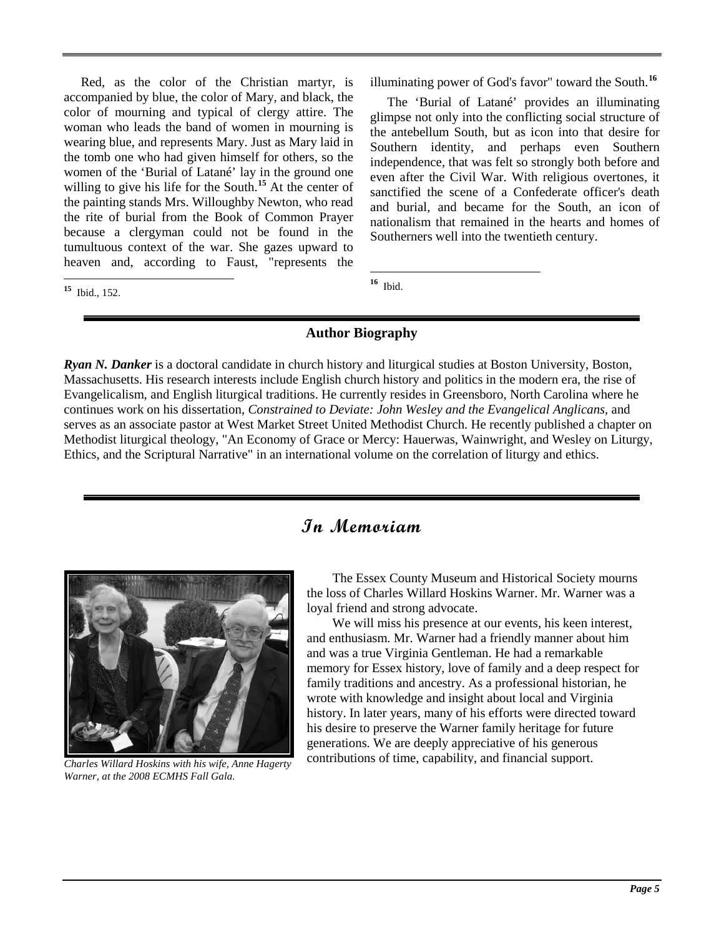Red, as the color of the Christian martyr, is accompanied by blue, the color of Mary, and black, the color of mourning and typical of clergy attire. The woman who leads the band of women in mourning is wearing blue, and represents Mary. Just as Mary laid in the tomb one who had given himself for others, so the women of the 'Burial of Latané' lay in the ground one willing to give his life for the South.**[15](#page-4-0)** At the center of the painting stands Mrs. Willoughby Newton, who read the rite of burial from the Book of Common Prayer because a clergyman could not be found in the tumultuous context of the war. She gazes upward to heaven and, according to Faust, "represents the

<span id="page-4-1"></span><span id="page-4-0"></span>**<sup>15</sup>** Ibid., 152.

illuminating power of God's favor" toward the South.**[16](#page-4-1)**

The 'Burial of Latané' provides an illuminating glimpse not only into the conflicting social structure of the antebellum South, but as icon into that desire for Southern identity, and perhaps even Southern independence, that was felt so strongly both before and even after the Civil War. With religious overtones, it sanctified the scene of a Confederate officer's death and burial, and became for the South, an icon of nationalism that remained in the hearts and homes of Southerners well into the twentieth century.

**<sup>16</sup>** Ibid.

## **Author Biography**

*Ryan N. Danker* is a doctoral candidate in church history and liturgical studies at Boston University, Boston, Massachusetts. His research interests include English church history and politics in the modern era, the rise of Evangelicalism, and English liturgical traditions. He currently resides in Greensboro, North Carolina where he continues work on his dissertation, *Constrained to Deviate: John Wesley and the Evangelical Anglicans,* and serves as an associate pastor at West Market Street United Methodist Church. He recently published a chapter on Methodist liturgical theology, "An Economy of Grace or Mercy: Hauerwas, Wainwright, and Wesley on Liturgy, Ethics, and the Scriptural Narrative" in an international volume on the correlation of liturgy and ethics.

## **In Memoriam**



*Charles Willard Hoskins with his wife, Anne Hagerty Warner, at the 2008 ECMHS Fall Gala.*

The Essex County Museum and Historical Society mourns the loss of Charles Willard Hoskins Warner. Mr. Warner was a loyal friend and strong advocate.

We will miss his presence at our events, his keen interest, and enthusiasm. Mr. Warner had a friendly manner about him and was a true Virginia Gentleman. He had a remarkable memory for Essex history, love of family and a deep respect for family traditions and ancestry. As a professional historian, he wrote with knowledge and insight about local and Virginia history. In later years, many of his efforts were directed toward his desire to preserve the Warner family heritage for future generations. We are deeply appreciative of his generous contributions of time, capability, and financial support.